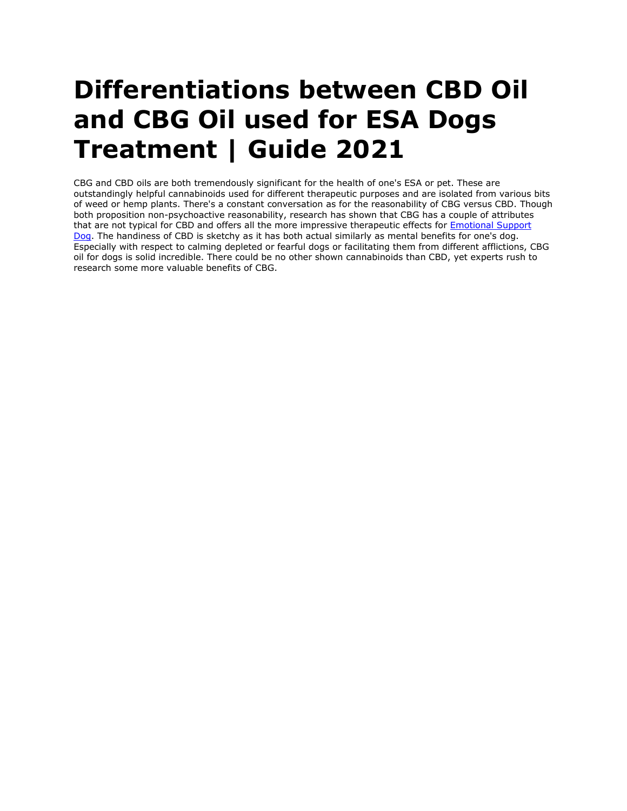## **Differentiations between CBD Oil and CBG Oil used for ESA Dogs Treatment | Guide 2021**

CBG and CBD oils are both tremendously significant for the health of one's ESA or pet. These are outstandingly helpful cannabinoids used for different therapeutic purposes and are isolated from various bits of weed or hemp plants. There's a constant conversation as for the reasonability of CBG versus CBD. Though both proposition non-psychoactive reasonability, research has shown that CBG has a couple of attributes that are not typical for CBD and offers all the more impressive therapeutic effects for **Emotional Support** [Dog.](https://myesaletter.net/emotional-support-dog) The handiness of CBD is sketchy as it has both actual similarly as mental benefits for one's dog. Especially with respect to calming depleted or fearful dogs or facilitating them from different afflictions, CBG oil for dogs is solid incredible. There could be no other shown cannabinoids than CBD, yet experts rush to research some more valuable benefits of CBG.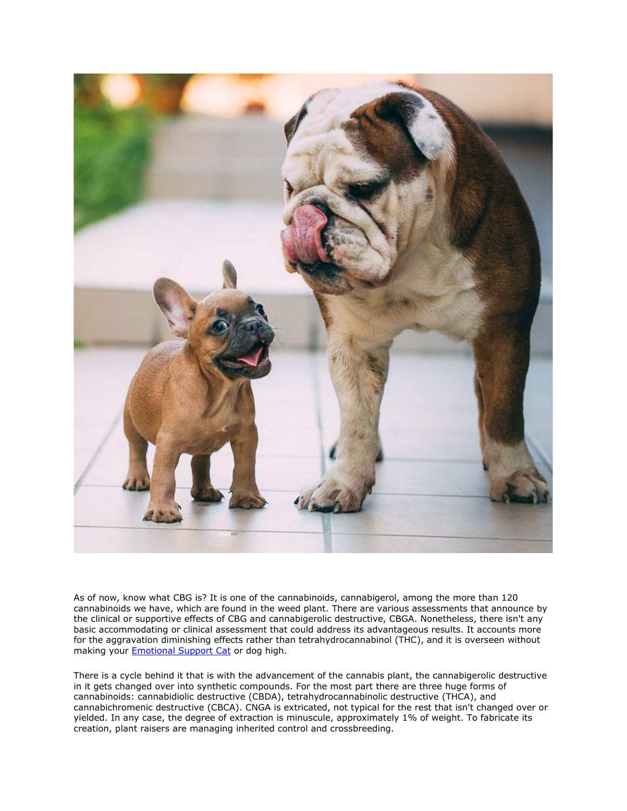

As of now, know what CBG is? It is one of the cannabinoids, cannabigerol, among the more than 120 cannabinoids we have, which are found in the weed plant. There are various assessments that announce by the clinical or supportive effects of CBG and cannabigerolic destructive, CBGA. Nonetheless, there isn't any basic accommodating or clinical assessment that could address its advantageous results. It accounts more for the aggravation diminishing effects rather than tetrahydrocannabinol (THC), and it is overseen without making your **[Emotional Support Cat](https://myesaletter.net/emotional-support-cat)** or dog high.

There is a cycle behind it that is with the advancement of the cannabis plant, the cannabigerolic destructive in it gets changed over into synthetic compounds. For the most part there are three huge forms of cannabinoids: cannabidiolic destructive (CBDA), tetrahydrocannabinolic destructive (THCA), and cannabichromenic destructive (CBCA). CNGA is extricated, not typical for the rest that isn't changed over or yielded. In any case, the degree of extraction is minuscule, approximately 1% of weight. To fabricate its creation, plant raisers are managing inherited control and crossbreeding.